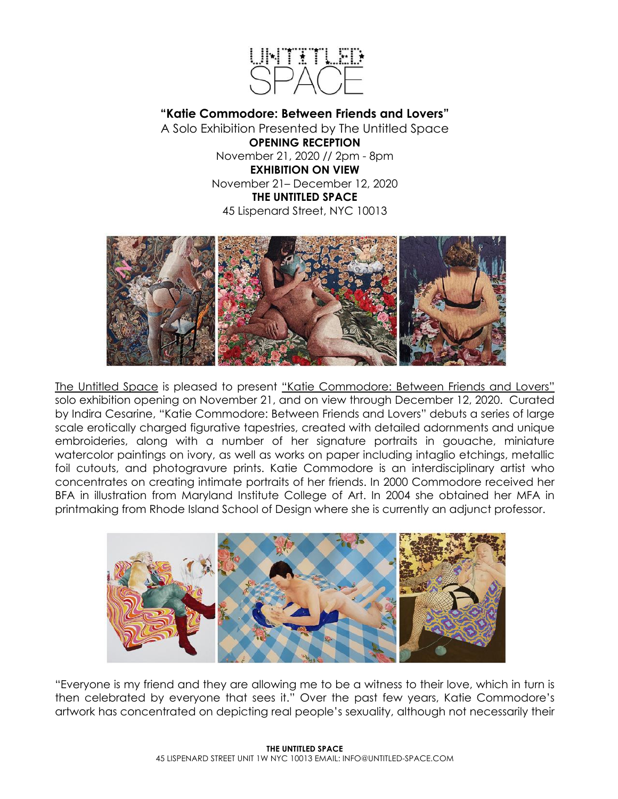

**"Katie Commodore: Between Friends and Lovers"**  A Solo Exhibition Presented by The Untitled Space

> **OPENING RECEPTION** November 21, 2020 // 2pm - 8pm **EXHIBITION ON VIEW** November 21– December 12, 2020 **THE UNTITLED SPACE** 45 Lispenard Street, NYC 10013



The Untitled Space is pleased to present "Katie Commodore: Between Friends and Lovers" solo exhibition opening on November 21, and on view through December 12, 2020. Curated by Indira Cesarine, "Katie Commodore: Between Friends and Lovers" debuts a series of large scale erotically charged figurative tapestries, created with detailed adornments and unique embroideries, along with a number of her signature portraits in gouache, miniature watercolor paintings on ivory, as well as works on paper including intaglio etchings, metallic foil cutouts, and photogravure prints. Katie Commodore is an interdisciplinary artist who concentrates on creating intimate portraits of her friends. In 2000 Commodore received her BFA in illustration from Maryland Institute College of Art. In 2004 she obtained her MFA in printmaking from Rhode Island School of Design where she is currently an adjunct professor.



"Everyone is my friend and they are allowing me to be a witness to their love, which in turn is then celebrated by everyone that sees it." Over the past few years, Katie Commodore's artwork has concentrated on depicting real people's sexuality, although not necessarily their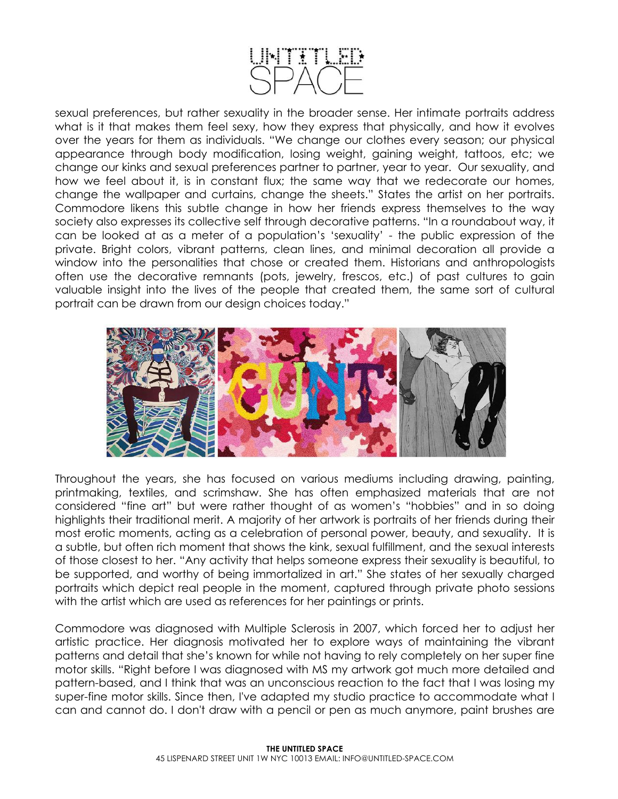

sexual preferences, but rather sexuality in the broader sense. Her intimate portraits address what is it that makes them feel sexy, how they express that physically, and how it evolves over the years for them as individuals. "We change our clothes every season; our physical appearance through body modification, losing weight, gaining weight, tattoos, etc; we change our kinks and sexual preferences partner to partner, year to year. Our sexuality, and how we feel about it, is in constant flux; the same way that we redecorate our homes, change the wallpaper and curtains, change the sheets." States the artist on her portraits. Commodore likens this subtle change in how her friends express themselves to the way society also expresses its collective self through decorative patterns. "In a roundabout way, it can be looked at as a meter of a population's 'sexuality' - the public expression of the private. Bright colors, vibrant patterns, clean lines, and minimal decoration all provide a window into the personalities that chose or created them. Historians and anthropologists often use the decorative remnants (pots, jewelry, frescos, etc.) of past cultures to gain valuable insight into the lives of the people that created them, the same sort of cultural portrait can be drawn from our design choices today."



Throughout the years, she has focused on various mediums including drawing, painting, printmaking, textiles, and scrimshaw. She has often emphasized materials that are not considered "fine art" but were rather thought of as women's "hobbies" and in so doing highlights their traditional merit. A majority of her artwork is portraits of her friends during their most erotic moments, acting as a celebration of personal power, beauty, and sexuality. It is a subtle, but often rich moment that shows the kink, sexual fulfillment, and the sexual interests of those closest to her. "Any activity that helps someone express their sexuality is beautiful, to be supported, and worthy of being immortalized in art." She states of her sexually charged portraits which depict real people in the moment, captured through private photo sessions with the artist which are used as references for her paintings or prints.

Commodore was diagnosed with Multiple Sclerosis in 2007, which forced her to adjust her artistic practice. Her diagnosis motivated her to explore ways of maintaining the vibrant patterns and detail that she's known for while not having to rely completely on her super fine motor skills. "Right before I was diagnosed with MS my artwork got much more detailed and pattern-based, and I think that was an unconscious reaction to the fact that I was losing my super-fine motor skills. Since then, I've adapted my studio practice to accommodate what I can and cannot do. I don't draw with a pencil or pen as much anymore, paint brushes are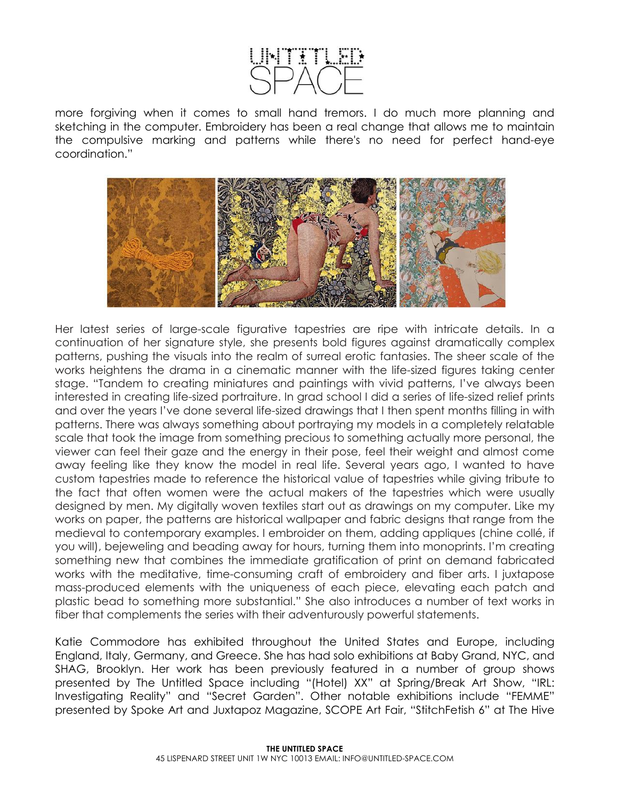

more forgiving when it comes to small hand tremors. I do much more planning and sketching in the computer. Embroidery has been a real change that allows me to maintain the compulsive marking and patterns while there's no need for perfect hand-eye coordination."



Her latest series of large-scale figurative tapestries are ripe with intricate details. In a continuation of her signature style, she presents bold figures against dramatically complex patterns, pushing the visuals into the realm of surreal erotic fantasies. The sheer scale of the works heightens the drama in a cinematic manner with the life-sized figures taking center stage. "Tandem to creating miniatures and paintings with vivid patterns, I've always been interested in creating life-sized portraiture. In grad school I did a series of life-sized relief prints and over the years I've done several life-sized drawings that I then spent months filling in with patterns. There was always something about portraying my models in a completely relatable scale that took the image from something precious to something actually more personal, the viewer can feel their gaze and the energy in their pose, feel their weight and almost come away feeling like they know the model in real life. Several years ago, I wanted to have custom tapestries made to reference the historical value of tapestries while giving tribute to the fact that often women were the actual makers of the tapestries which were usually designed by men. My digitally woven textiles start out as drawings on my computer. Like my works on paper, the patterns are historical wallpaper and fabric designs that range from the medieval to contemporary examples. I embroider on them, adding appliques (chine collé, if you will), bejeweling and beading away for hours, turning them into monoprints. I'm creating something new that combines the immediate gratification of print on demand fabricated works with the meditative, time-consuming craft of embroidery and fiber arts. I juxtapose mass-produced elements with the uniqueness of each piece, elevating each patch and plastic bead to something more substantial." She also introduces a number of text works in fiber that complements the series with their adventurously powerful statements.

Katie Commodore has exhibited throughout the United States and Europe, including England, Italy, Germany, and Greece. She has had solo exhibitions at Baby Grand, NYC, and SHAG, Brooklyn. Her work has been previously featured in a number of group shows presented by The Untitled Space including "(Hotel) XX" at Spring/Break Art Show, "IRL: Investigating Reality" and "Secret Garden". Other notable exhibitions include "FEMME" presented by Spoke Art and Juxtapoz Magazine, SCOPE Art Fair, "StitchFetish 6" at The Hive